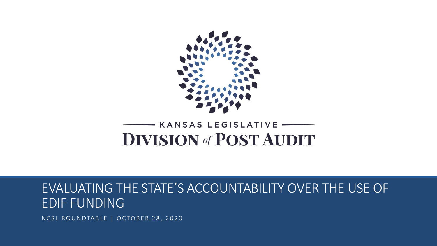

#### KANSAS LEGISLATIVE **DIVISION of POST AUDIT**

#### EVALUATING THE STATE'S ACCOUNTABILITY OVER THE USE OF EDIF FUNDING

NCSL ROUNDTABLE | OCTOBER 28, 2020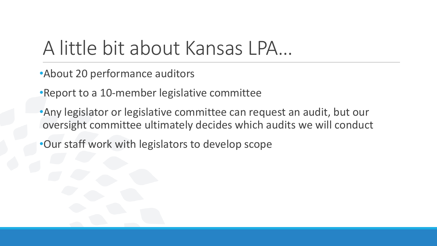#### A little bit about Kansas LPA…

- •About 20 performance auditors
- •Report to a 10-member legislative committee
- •Any legislator or legislative committee can request an audit, but our oversight committee ultimately decides which audits we will conduct
- •Our staff work with legislators to develop scope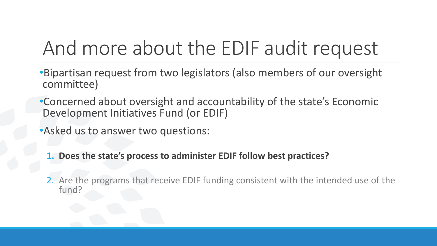### And more about the EDIF audit request

- •Bipartisan request from two legislators (also members of our oversight committee)
- •Concerned about oversight and accountability of the state's Economic Development Initiatives Fund (or EDIF)
- •Asked us to answer two questions:
	- **1. Does the state's process to administer EDIF follow best practices?**
	- 2. Are the programs that receive EDIF funding consistent with the intended use of the fund?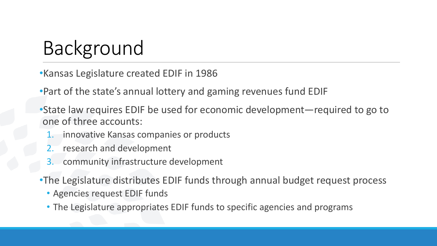## Background

•Kansas Legislature created EDIF in 1986

•Part of the state's annual lottery and gaming revenues fund EDIF

•State law requires EDIF be used for economic development—required to go to one of three accounts:

- 1. innovative Kansas companies or products
- 2. research and development
- 3. community infrastructure development

•The Legislature distributes EDIF funds through annual budget request process

- Agencies request EDIF funds
- The Legislature appropriates EDIF funds to specific agencies and programs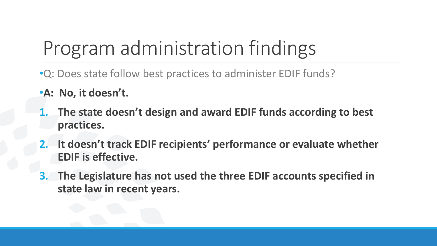# Program administration findings

- •Q: Does state follow best practices to administer EDIF funds?
- •**A: No, it doesn't.**
- **1. The state doesn't design and award EDIF funds according to best practices.**
- **2. It doesn't track EDIF recipients' performance or evaluate whether EDIF is effective.**
- **3. The Legislature has not used the three EDIF accounts specified in state law in recent years.**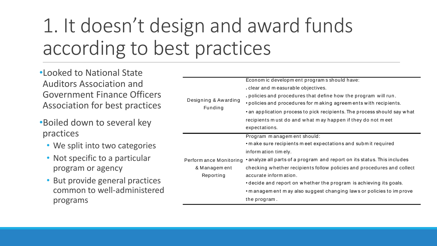# 1. It doesn't design and award funds according to best practices

- •Looked to National State Auditors Association and Government Finance Officers Association for best practices
- •Boiled down to several key practices
	- We split into two categories
	- Not specific to a particular program or agency
	- But provide general practices common to well-administered programs

| Designing & Awarding<br>Funding                      | Economic development programs should have:<br>clear and measurable objectives.<br>policies and procedures that define how the program will run.<br>• policies and procedures for making agreements with recipients.<br>• an application process to pick recipients. The process should say what<br>recipients must do and what may happen if they do not meet |
|------------------------------------------------------|---------------------------------------------------------------------------------------------------------------------------------------------------------------------------------------------------------------------------------------------------------------------------------------------------------------------------------------------------------------|
|                                                      | expectations.                                                                                                                                                                                                                                                                                                                                                 |
| Perform ance Monitoring<br>& Management<br>Reporting | Program management should:<br>• make sure recipients meet expectations and submit required<br>inform ation timely.                                                                                                                                                                                                                                            |
|                                                      | • analyze all parts of a program and report on its status. This includes<br>checking whether recipients follow policies and procedures and collect<br>accurate inform ation.                                                                                                                                                                                  |
|                                                      | • decide and report on whether the program is achieving its goals.<br>• m anagem ent m ay also suggest changing laws or policies to improve                                                                                                                                                                                                                   |
|                                                      | the program.                                                                                                                                                                                                                                                                                                                                                  |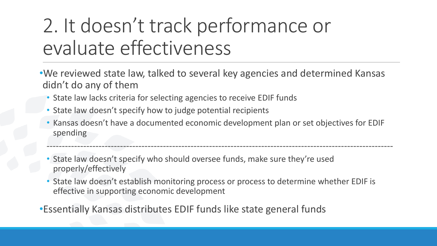## 2. It doesn't track performance or evaluate effectiveness

- •We reviewed state law, talked to several key agencies and determined Kansas didn't do any of them
	- State law lacks criteria for selecting agencies to receive EDIF funds
	- State law doesn't specify how to judge potential recipients
	- Kansas doesn't have a documented economic development plan or set objectives for EDIF spending

-----------------------------------------------------------------------------------------------------------------

- State law doesn't specify who should oversee funds, make sure they're used properly/effectively
- State law doesn't establish monitoring process or process to determine whether EDIF is effective in supporting economic development

•Essentially Kansas distributes EDIF funds like state general funds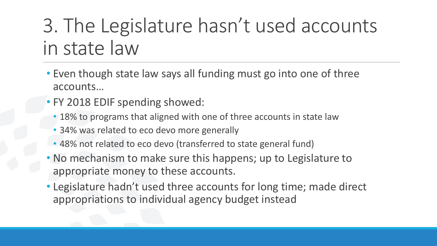### 3. The Legislature hasn't used accounts in state law

- Even though state law says all funding must go into one of three accounts…
- FY 2018 EDIF spending showed:
	- 18% to programs that aligned with one of three accounts in state law
	- 34% was related to eco devo more generally
	- 48% not related to eco devo (transferred to state general fund)
- No mechanism to make sure this happens; up to Legislature to appropriate money to these accounts.
- Legislature hadn't used three accounts for long time; made direct appropriations to individual agency budget instead